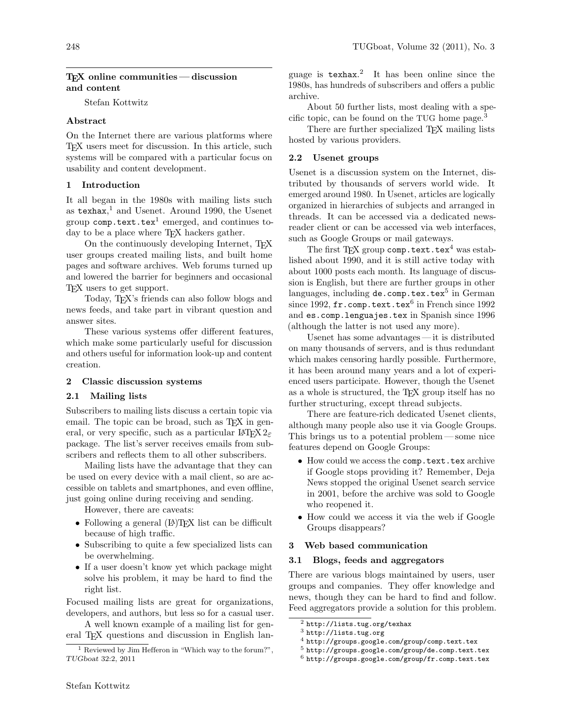## $TFX$  online communities — discussion and content

Stefan Kottwitz

## Abstract

On the Internet there are various platforms where TEX users meet for discussion. In this article, such systems will be compared with a particular focus on usability and content development.

## 1 Introduction

It all began in the 1980s with mailing lists such as texhax, [1](#page-0-0) and Usenet. Around 1990, the Usenet group  $\texttt{comp.text.text}$  emerged, and continues today to be a place where T<sub>E</sub>X hackers gather.

On the continuously developing Internet, TEX user groups created mailing lists, and built home pages and software archives. Web forums turned up and lowered the barrier for beginners and occasional TEX users to get support.

Today, TEX's friends can also follow blogs and news feeds, and take part in vibrant question and answer sites.

These various systems offer different features, which make some particularly useful for discussion and others useful for information look-up and content creation.

#### 2 Classic discussion systems

### 2.1 Mailing lists

Subscribers to mailing lists discuss a certain topic via email. The topic can be broad, such as T<sub>F</sub>X in general, or very specific, such as a particular  $\mathbb{E} \mathbb{E} \mathbb{E} \mathbb{E} \mathbb{E} \mathbb{E} \mathbb{E} \mathbb{E} \mathbb{E} \mathbb{E} \mathbb{E} \mathbb{E} \mathbb{E} \mathbb{E} \mathbb{E} \mathbb{E} \mathbb{E} \mathbb{E} \mathbb{E} \mathbb{E} \mathbb{E} \mathbb{E} \mathbb{E} \mathbb{E} \mathbb{E} \mathbb{E} \mathbb{E} \mathbb{E} \mathbb{E} \$ package. The list's server receives emails from subscribers and reflects them to all other subscribers.

Mailing lists have the advantage that they can be used on every device with a mail client, so are accessible on tablets and smartphones, and even offline, just going online during receiving and sending.

However, there are caveats:

- Following a general (LA)TFX list can be difficult because of high traffic.
- Subscribing to quite a few specialized lists can be overwhelming.
- If a user doesn't know yet which package might solve his problem, it may be hard to find the right list.

Focused mailing lists are great for organizations, developers, and authors, but less so for a casual user.

A well known example of a mailing list for general T<sub>EX</sub> questions and discussion in English lan-

guage is [texhax](http://lists.tug.org/texhax). [2](#page-0-1) It has been online since the 1980s, has hundreds of subscribers and offers a public archive.

About 50 further lists, most dealing with a specific topic, can be found on the TUG [home page.](http://lists.tug.org)[3](#page-0-2)

There are further specialized TEX mailing lists hosted by various providers.

### 2.2 Usenet groups

Usenet is a discussion system on the Internet, distributed by thousands of servers world wide. It emerged around 1980. In Usenet, articles are logically organized in hierarchies of subjects and arranged in threads. It can be accessed via a dedicated newsreader client or can be accessed via web interfaces, such as Google Groups or mail gateways.

The first TFX group [comp.text.tex](http://groups.google.com/group/comp.text.tex)<sup>[4](#page-0-3)</sup> was established about 1990, and it is still active today with about 1000 posts each month. Its language of discussion is English, but there are further groups in other languages, including  $\tt de.comp.textrm{tex}$  in German since 1992,  $\mathtt{fr.comp.text.test}^6$  $\mathtt{fr.comp.text.test}^6$  in French since 1992 and es.comp.lenguajes.tex in Spanish since 1996 (although the latter is not used any more).

Usenet has some advantages — it is distributed on many thousands of servers, and is thus redundant which makes censoring hardly possible. Furthermore, it has been around many years and a lot of experienced users participate. However, though the Usenet as a whole is structured, the T<sub>E</sub>X group itself has no further structuring, except thread subjects.

There are feature-rich dedicated Usenet clients, although many people also use it via Google Groups. This brings us to a potential problem— some nice features depend on Google Groups:

- How could we access the comp.text.tex archive if Google stops providing it? Remember, Deja News stopped the original Usenet search service in 2001, before the archive was sold to Google who reopened it.
- How could we access it via the web if Google Groups disappears?

#### 3 Web based communication

#### 3.1 Blogs, feeds and aggregators

There are various blogs maintained by users, user groups and companies. They offer knowledge and news, though they can be hard to find and follow. Feed aggregators provide a solution for this problem.

<span id="page-0-0"></span><sup>&</sup>lt;sup>1</sup> Reviewed by Jim Hefferon in "Which way to the forum?", TUGboat 32:2, 2011

<span id="page-0-1"></span><sup>2</sup> <http://lists.tug.org/texhax>

<span id="page-0-2"></span><sup>3</sup> <http://lists.tug.org>

<span id="page-0-3"></span><sup>4</sup> <http://groups.google.com/group/comp.text.tex>

<span id="page-0-4"></span><sup>5</sup> <http://groups.google.com/group/de.comp.text.tex>

<span id="page-0-5"></span> $6$  <http://groups.google.com/group/fr.comp.text.tex>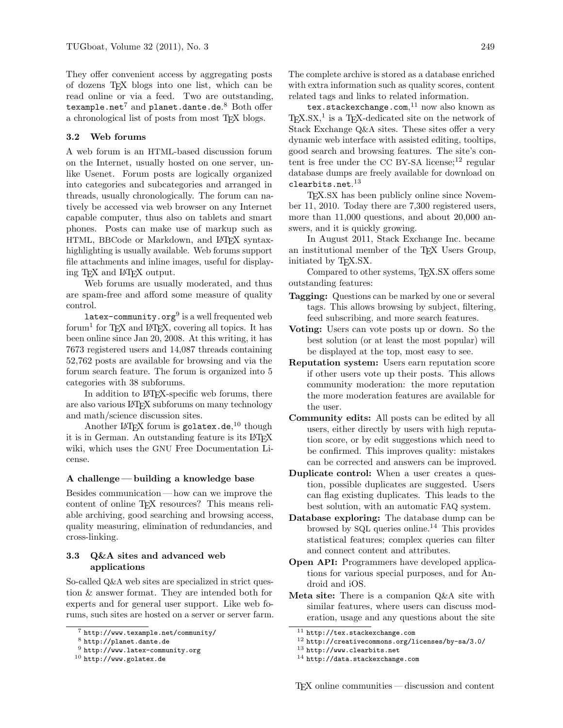They offer convenient access by aggregating posts of dozens TEX blogs into one list, which can be read online or via a feed. Two are outstanding,  $\texttt{texamp}$ anet $^7$  $^7$  and  $\texttt{planet.dante.de.}^8$  $\texttt{planet.dante.de.}^8$  $\texttt{planet.dante.de.}^8$  $\texttt{planet.dante.de.}^8$  Both offer a chronological list of posts from most TEX blogs.

## 3.2 Web forums

A web forum is an HTML-based discussion forum on the Internet, usually hosted on one server, unlike Usenet. Forum posts are logically organized into categories and subcategories and arranged in threads, usually chronologically. The forum can natively be accessed via web browser on any Internet capable computer, thus also on tablets and smart phones. Posts can make use of markup such as HTML, BBCode or Markdown, and LATEX syntaxhighlighting is usually available. Web forums support file attachments and inline images, useful for displaying TEX and LATEX output.

Web forums are usually moderated, and thus are spam-free and afford some measure of quality control.

 ${\tt latex-commuity.org^9}$  ${\tt latex-commuity.org^9}$  ${\tt latex-commuity.org^9}$  is a well frequented web forum<sup>1</sup> for T<sub>E</sub>X and IAT<sub>E</sub>X, covering all topics. It has been online since Jan 20, 2008. At this writing, it has 7673 registered users and 14,087 threads containing 52,762 posts are available for browsing and via the forum search feature. The forum is organized into 5 categories with 38 subforums.

In addition to LATEX-specific web forums, there are also various LATEX subforums on many technology and math/science discussion sites.

Another LAT<sub>E</sub>X forum is  $\texttt{golatex.de},^{10}$  $\texttt{golatex.de},^{10}$  $\texttt{golatex.de},^{10}$  $\texttt{golatex.de},^{10}$  $\texttt{golatex.de},^{10}$  though it is in German. An outstanding feature is its LATEX wiki, which uses the GNU Free Documentation License.

#### A challenge — building a knowledge base

Besides communication— how can we improve the content of online T<sub>E</sub>X resources? This means reliable archiving, good searching and browsing access, quality measuring, elimination of redundancies, and cross-linking.

# 3.3 Q&A sites and advanced web applications

So-called Q&A web sites are specialized in strict question & answer format. They are intended both for experts and for general user support. Like web forums, such sites are hosted on a server or server farm. The complete archive is stored as a database enriched with extra information such as quality scores, content related tags and links to related information.

[tex.stackexchange.com](http://tex.stackexchange.com), [11](#page-1-4) now also known as  $T_{\rm E}X$ .SX,<sup>1</sup> is a T<sub>E</sub>X-dedicated site on the network of Stack Exchange Q&A sites. These sites offer a very dynamic web interface with assisted editing, tooltips, good search and browsing features. The site's con-tent is free under the [CC BY-SA](http://creativecommons.org/licenses/by-sa/3.0/) license;<sup>[12](#page-1-5)</sup> regular database dumps are freely available for download on [clearbits.net](http://www.clearbits.net). $^{13}$  $^{13}$  $^{13}$ 

TEX.SX has been publicly online since November 11, 2010. Today there are 7,300 registered users, more than 11,000 questions, and about 20,000 answers, and it is quickly growing.

In August 2011, Stack Exchange Inc. became an institutional member of the TEX Users Group, initiated by TEX.SX.

Compared to other systems, TEX.SX offers some outstanding features:

- **Tagging:** Questions can be marked by one or several tags. This allows browsing by subject, filtering, feed subscribing, and more search features.
- Voting: Users can vote posts up or down. So the best solution (or at least the most popular) will be displayed at the top, most easy to see.
- Reputation system: Users earn reputation score if other users vote up their posts. This allows community moderation: the more reputation the more moderation features are available for the user.
- Community edits: All posts can be edited by all users, either directly by users with high reputation score, or by edit suggestions which need to be confirmed. This improves quality: mistakes can be corrected and answers can be improved.
- Duplicate control: When a user creates a question, possible duplicates are suggested. Users can flag existing duplicates. This leads to the best solution, with an automatic FAQ system.
- Database exploring: The database dump can be browsed by SQL queries [online.](http://data.stackexchange.com)[14](#page-1-7) This provides statistical features; complex queries can filter and connect content and attributes.
- Open API: Programmers have developed applications for various special purposes, and for Android and iOS.
- Meta site: There is a companion Q&A site with similar features, where users can discuss moderation, usage and any questions about the site

<span id="page-1-0"></span><sup>7</sup> <http://www.texample.net/community/>

<span id="page-1-1"></span><sup>8</sup> <http://planet.dante.de>

<span id="page-1-2"></span> $9$  <http://www.latex-community.org>

<span id="page-1-3"></span><sup>10</sup> <http://www.golatex.de>

<span id="page-1-4"></span><sup>11</sup> <http://tex.stackexchange.com>

<span id="page-1-5"></span><sup>12</sup> <http://creativecommons.org/licenses/by-sa/3.0/>

<span id="page-1-6"></span><sup>13</sup> <http://www.clearbits.net>

<span id="page-1-7"></span><sup>14</sup> <http://data.stackexchange.com>